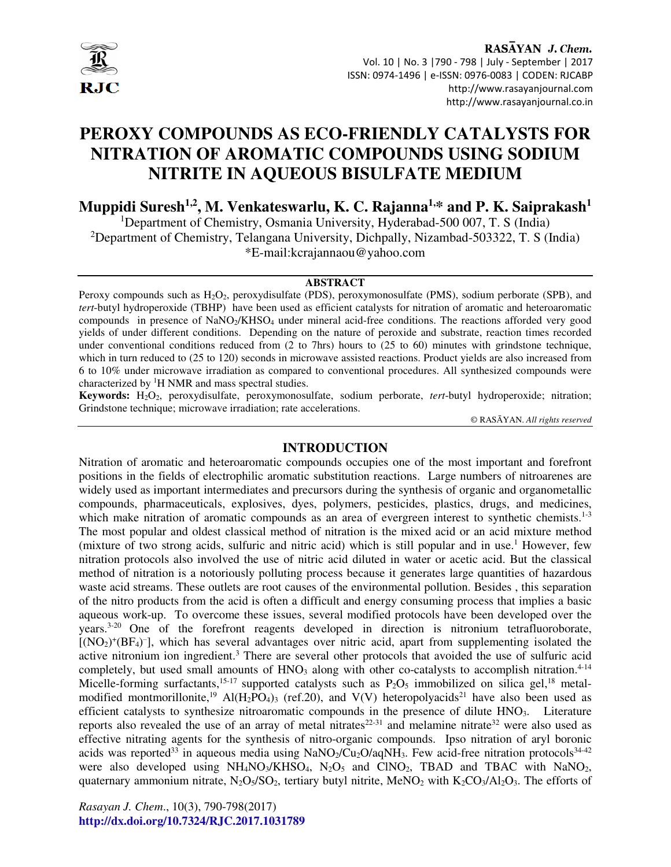

# **PEROXY COMPOUNDS AS ECO-FRIENDLY CATALYSTS FOR NITRATION OF AROMATIC COMPOUNDS USING SODIUM NITRITE IN AQUEOUS BISULFATE MEDIUM**

**Muppidi Suresh1,2, M. Venkateswarlu, K. C. Rajanna1,\* and P. K. Saiprakash<sup>1</sup>**

<sup>1</sup>Department of Chemistry, Osmania University, Hyderabad-500 007, T. S (India) <sup>2</sup>Department of Chemistry, Telangana University, Dichpally, Nizambad-503322, T. S (India) \*E-mail:kcrajannaou@yahoo.com

## **ABSTRACT**

Peroxy compounds such as H<sub>2</sub>O<sub>2</sub>, peroxydisulfate (PDS), peroxymonosulfate (PMS), sodium perborate (SPB), and *tert*-butyl hydroperoxide (TBHP) have been used as efficient catalysts for nitration of aromatic and heteroaromatic compounds in presence of NaNO2/KHSO4 under mineral acid-free conditions. The reactions afforded very good yields of under different conditions. Depending on the nature of peroxide and substrate, reaction times recorded under conventional conditions reduced from (2 to 7hrs) hours to (25 to 60) minutes with grindstone technique, which in turn reduced to (25 to 120) seconds in microwave assisted reactions. Product yields are also increased from 6 to 10% under microwave irradiation as compared to conventional procedures. All synthesized compounds were characterized by <sup>1</sup>H NMR and mass spectral studies.

**Keywords:** H2O2, peroxydisulfate, peroxymonosulfate, sodium perborate, *tert*-butyl hydroperoxide; nitration; Grindstone technique; microwave irradiation; rate accelerations.

© RASĀYAN. *All rights reserved*

# **INTRODUCTION**

Nitration of aromatic and heteroaromatic compounds occupies one of the most important and forefront positions in the fields of electrophilic aromatic substitution reactions. Large numbers of nitroarenes are widely used as important intermediates and precursors during the synthesis of organic and organometallic compounds, pharmaceuticals, explosives, dyes, polymers, pesticides, plastics, drugs, and medicines, which make nitration of aromatic compounds as an area of evergreen interest to synthetic chemists.<sup>1-3</sup> The most popular and oldest classical method of nitration is the mixed acid or an acid mixture method (mixture of two strong acids, sulfuric and nitric acid) which is still popular and in use.<sup>1</sup> However, few nitration protocols also involved the use of nitric acid diluted in water or acetic acid. But the classical method of nitration is a notoriously polluting process because it generates large quantities of hazardous waste acid streams. These outlets are root causes of the environmental pollution. Besides , this separation of the nitro products from the acid is often a difficult and energy consuming process that implies a basic aqueous work-up. To overcome these issues, several modified protocols have been developed over the years.3-20 One of the forefront reagents developed in direction is nitronium tetrafluoroborate,  $[(NO<sub>2</sub>)<sup>+</sup>(BF<sub>4</sub>)<sup>-</sup>]$ , which has several advantages over nitric acid, apart from supplementing isolated the active nitronium ion ingredient.<sup>3</sup> There are several other protocols that avoided the use of sulfuric acid completely, but used small amounts of  $HNO<sub>3</sub>$  along with other co-catalysts to accomplish nitration.<sup>4-14</sup> Micelle-forming surfactants,<sup>15-17</sup> supported catalysts such as  $P_2O_5$  immobilized on silica gel,<sup>18</sup> metalmodified montmorillonite,<sup>19</sup> Al(H<sub>2</sub>PO<sub>4</sub>)<sub>3</sub> (ref.20), and V(V) heteropolyacids<sup>21</sup> have also been used as efficient catalysts to synthesize nitroaromatic compounds in the presence of dilute HNO<sub>3</sub>. Literature reports also revealed the use of an array of metal nitrates<sup>22-31</sup> and melamine nitrate<sup>32</sup> were also used as effective nitrating agents for the synthesis of nitro-organic compounds. Ipso nitration of aryl boronic acids was reported<sup>33</sup> in aqueous media using NaNO<sub>2</sub>/Cu<sub>2</sub>O/aqNH<sub>3</sub>. Few acid-free nitration protocols<sup>34-42</sup> were also developed using  $NH_4NO_3/KHSO_4$ ,  $N_2O_5$  and  $CINO_2$ , TBAD and TBAC with NaNO<sub>2</sub>, quaternary ammonium nitrate,  $N_2O_5/SO_2$ , tertiary butyl nitrite, MeNO<sub>2</sub> with K<sub>2</sub>CO<sub>3</sub>/Al<sub>2</sub>O<sub>3</sub>. The efforts of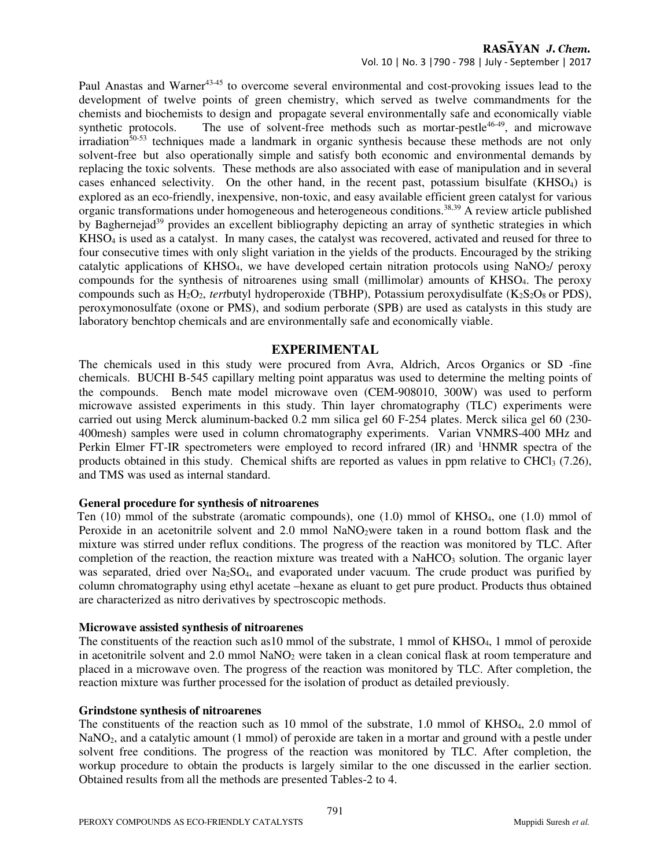Vol. 10 | No. 3 |790 - 798 | July - September | 2017

Paul Anastas and Warner<sup>43-45</sup> to overcome several environmental and cost-provoking issues lead to the development of twelve points of green chemistry, which served as twelve commandments for the chemists and biochemists to design and propagate several environmentally safe and economically viable synthetic protocols. The use of solvent-free methods such as mortar-pestle $46-49$ , and microwave irradiation<sup>50-53</sup> techniques made a landmark in organic synthesis because these methods are not only solvent-free but also operationally simple and satisfy both economic and environmental demands by replacing the toxic solvents. These methods are also associated with ease of manipulation and in several cases enhanced selectivity. On the other hand, in the recent past, potassium bisulfate (KHSO4) is explored as an eco-friendly, inexpensive, non-toxic, and easy available efficient green catalyst for various organic transformations under homogeneous and heterogeneous conditions.38,39 A review article published by Baghernejad<sup>39</sup> provides an excellent bibliography depicting an array of synthetic strategies in which KHSO4 is used as a catalyst. In many cases, the catalyst was recovered, activated and reused for three to four consecutive times with only slight variation in the yields of the products. Encouraged by the striking catalytic applications of KHSO<sub>4</sub>, we have developed certain nitration protocols using NaNO<sub>2</sub>/ peroxy compounds for the synthesis of nitroarenes using small (millimolar) amounts of KHSO4. The peroxy compounds such as H<sub>2</sub>O<sub>2</sub>, *tert*butyl hydroperoxide (TBHP), Potassium peroxydisulfate (K<sub>2</sub>S<sub>2</sub>O<sub>8</sub> or PDS), peroxymonosulfate (oxone or PMS), and sodium perborate (SPB) are used as catalysts in this study are laboratory benchtop chemicals and are environmentally safe and economically viable.

# **EXPERIMENTAL**

The chemicals used in this study were procured from Avra, Aldrich, Arcos Organics or SD -fine chemicals. BUCHI B-545 capillary melting point apparatus was used to determine the melting points of the compounds. Bench mate model microwave oven (CEM-908010, 300W) was used to perform microwave assisted experiments in this study. Thin layer chromatography (TLC) experiments were carried out using Merck aluminum-backed 0.2 mm silica gel 60 F-254 plates. Merck silica gel 60 (230- 400mesh) samples were used in column chromatography experiments. Varian VNMRS-400 MHz and Perkin Elmer FT-IR spectrometers were employed to record infrared (IR) and <sup>1</sup>HNMR spectra of the products obtained in this study. Chemical shifts are reported as values in ppm relative to CHCl $_3$  (7.26), and TMS was used as internal standard.

## **General procedure for synthesis of nitroarenes**

Ten (10) mmol of the substrate (aromatic compounds), one (1.0) mmol of KHSO<sub>4</sub>, one (1.0) mmol of Peroxide in an acetonitrile solvent and 2.0 mmol NaNO<sub>2</sub>were taken in a round bottom flask and the mixture was stirred under reflux conditions. The progress of the reaction was monitored by TLC. After completion of the reaction, the reaction mixture was treated with a NaHCO<sub>3</sub> solution. The organic layer was separated, dried over Na<sub>2</sub>SO<sub>4</sub>, and evaporated under vacuum. The crude product was purified by column chromatography using ethyl acetate –hexane as eluant to get pure product. Products thus obtained are characterized as nitro derivatives by spectroscopic methods.

## **Microwave assisted synthesis of nitroarenes**

The constituents of the reaction such as10 mmol of the substrate, 1 mmol of KHSO<sub>4</sub>, 1 mmol of peroxide in acetonitrile solvent and 2.0 mmol NaNO<sub>2</sub> were taken in a clean conical flask at room temperature and placed in a microwave oven. The progress of the reaction was monitored by TLC. After completion, the reaction mixture was further processed for the isolation of product as detailed previously.

## **Grindstone synthesis of nitroarenes**

The constituents of the reaction such as 10 mmol of the substrate, 1.0 mmol of KHSO<sub>4</sub>, 2.0 mmol of NaNO<sub>2</sub>, and a catalytic amount (1 mmol) of peroxide are taken in a mortar and ground with a pestle under solvent free conditions. The progress of the reaction was monitored by TLC. After completion, the workup procedure to obtain the products is largely similar to the one discussed in the earlier section. Obtained results from all the methods are presented Tables-2 to 4.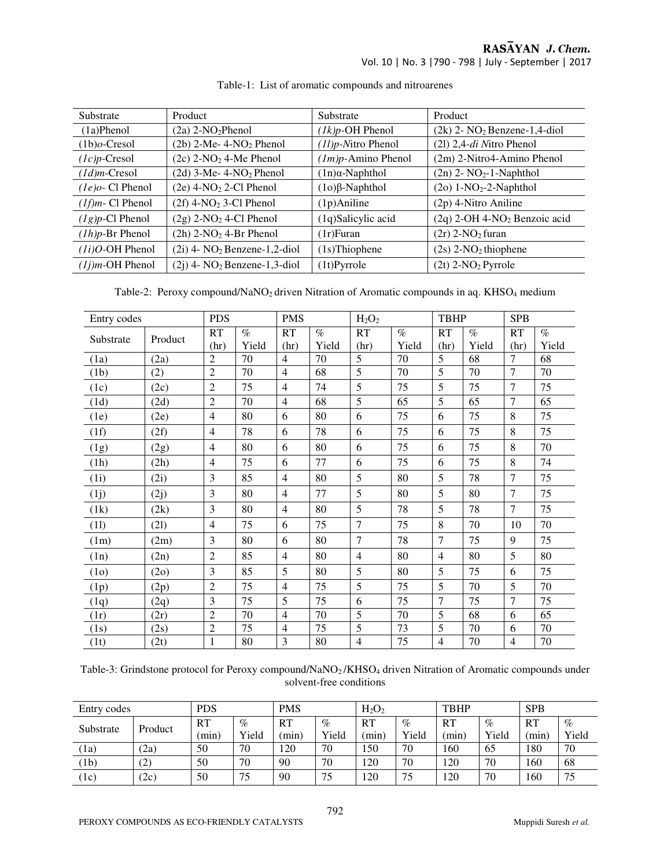Vol. 10 | No. 3 |790 - 798 | July - September | 2017

| Substrate           | Product                                    | Substrate                | Product                                    |
|---------------------|--------------------------------------------|--------------------------|--------------------------------------------|
| (1a)Phenol          | $(2a)$ 2-NO <sub>2</sub> Phenol            | $(lk)p$ -OH Phenol       | $(2k)$ 2- NO <sub>2</sub> Benzene-1,4-diol |
| $(1b)$ o-Cresol     | $(2b)$ 2-Me-4-NO <sub>2</sub> Phenol       | (11)p-Nitro Phenol       | $(21)$ 2,4-di Nitro Phenol                 |
| $(Ic)p$ -Cresol     | $(2c)$ 2-NO <sub>2</sub> 4-Me Phenol       | $(1m)p$ -Amino Phenol    | (2m) 2-Nitro4-Amino Phenol                 |
| $(1d)m$ -Cresol     | $(2d)$ 3-Me- 4-NO <sub>2</sub> Phenol      | $(1n)\alpha$ -Naphthol   | $(2n)$ 2- NO <sub>2</sub> -1-Naphthol      |
| $(1e)$ o- Cl Phenol | $(2e)$ 4-NO <sub>2</sub> 2-Cl Phenol       | $(1o)$ $\beta$ -Naphthol | $(2o)$ 1-NO <sub>2</sub> -2-Naphthol       |
| $(1f)m$ - Cl Phenol | $(2f)$ 4-NO <sub>2</sub> 3-Cl Phenol       | $(1p)$ Aniline           | $(2p)$ 4-Nitro Aniline                     |
| $(Ig)p$ -Cl Phenol  | $(2g)$ 2-NO <sub>2</sub> 4-Cl Phenol       | (1q)Salicylic acid       | $(2q)$ 2-OH 4-NO <sub>2</sub> Benzoic acid |
| $(1h)p-Br$ Phenol   | $(2h)$ 2-NO <sub>2</sub> 4-Br Phenol       | (1r)Furan                | $(2r)$ 2-NO <sub>2</sub> furan             |
| $(Ii)O$ -OH Phenol  | $(2i)$ 4- NO <sub>2</sub> Benzene-1,2-diol | $(1s)$ Thiophene         | $(2s)$ 2-NO <sub>2</sub> thiophene         |
| $(lj)m$ -OH Phenol  | $(2j)$ 4- NO <sub>2</sub> Benzene-1,3-diol | $(1t)$ Pyrrole           | $(2t)$ 2-NO <sub>2</sub> Pyrrole           |

Table-1: List of aromatic compounds and nitroarenes

Table-2: Peroxy compound/NaNO<sub>2</sub> driven Nitration of Aromatic compounds in aq. KHSO<sub>4</sub> medium

| Entry codes |         | <b>PDS</b>     |       | <b>PMS</b>     |       | $H_2O_2$       |       | <b>TBHP</b>    |       | <b>SPB</b>     |       |
|-------------|---------|----------------|-------|----------------|-------|----------------|-------|----------------|-------|----------------|-------|
| Substrate   | Product | <b>RT</b>      | $\%$  | <b>RT</b>      | $\%$  | RT             | $\%$  | <b>RT</b>      | $\%$  | <b>RT</b>      | $\%$  |
|             |         | (hr)           | Yield | (hr)           | Yield | (hr)           | Yield | (hr)           | Yield | (hr)           | Yield |
| (1a)        | (2a)    | $\overline{2}$ | 70    | $\overline{4}$ | 70    | 5              | 70    | 5              | 68    | $\tau$         | 68    |
| (1b)        | (2)     | $\overline{2}$ | 70    | 4              | 68    | 5              | 70    | 5              | 70    | $\tau$         | 70    |
| (1c)        | (2c)    | $\overline{2}$ | 75    | 4              | 74    | 5              | 75    | 5              | 75    | $\overline{7}$ | 75    |
| (1d)        | (2d)    | $\overline{2}$ | 70    | $\overline{4}$ | 68    | 5              | 65    | $\overline{5}$ | 65    | $\overline{7}$ | 65    |
| (1e)        | (2e)    | $\overline{4}$ | 80    | 6              | 80    | 6              | 75    | 6              | 75    | 8              | 75    |
| (1f)        | (2f)    | $\overline{4}$ | 78    | 6              | 78    | 6              | 75    | 6              | 75    | 8              | 75    |
| (1g)        | (2g)    | 4              | 80    | 6              | 80    | 6              | 75    | 6              | 75    | 8              | 70    |
| (1h)        | (2h)    | $\overline{4}$ | 75    | 6              | 77    | 6              | 75    | 6              | 75    | 8              | 74    |
| (1i)        | (2i)    | 3              | 85    | $\overline{4}$ | 80    | 5              | 80    | 5              | 78    | $\overline{7}$ | 75    |
| (1j)        | (2j)    | 3              | 80    | $\overline{4}$ | 77    | 5              | 80    | 5              | 80    | $\overline{7}$ | 75    |
| (1k)        | (2k)    | 3              | 80    | $\overline{4}$ | 80    | 5              | 78    | 5              | 78    | $\overline{7}$ | 75    |
| (11)        | (21)    | $\overline{4}$ | 75    | 6              | 75    | $\overline{7}$ | 75    | 8              | 70    | 10             | 70    |
| (1m)        | (2m)    | 3              | 80    | 6              | 80    | $\overline{7}$ | 78    | $\overline{7}$ | 75    | 9              | 75    |
| (1n)        | (2n)    | $\overline{2}$ | 85    | $\overline{4}$ | 80    | $\overline{4}$ | 80    | $\overline{4}$ | 80    | 5              | 80    |
| (1o)        | (2o)    | 3              | 85    | 5              | 80    | 5              | 80    | 5              | 75    | 6              | 75    |
| (1p)        | (2p)    | $\overline{2}$ | 75    | $\overline{4}$ | 75    | 5              | 75    | 5              | 70    | 5              | 70    |
| (1q)        | (2q)    | 3              | 75    | 5              | 75    | 6              | 75    | $\overline{7}$ | 75    | $\overline{7}$ | 75    |
| (1r)        | (2r)    | $\overline{2}$ | 70    | $\overline{4}$ | 70    | 5              | 70    | 5              | 68    | 6              | 65    |
| (1s)        | (2s)    | $\overline{2}$ | 75    | 4              | 75    | 5              | 73    | 5              | 70    | 6              | 70    |
| (1t)        | (2t)    | $\mathbf{1}$   | 80    | 3              | 80    | $\overline{4}$ | 75    | $\overline{4}$ | 70    | $\overline{4}$ | 70    |

Table-3: Grindstone protocol for Peroxy compound/NaNO<sub>2</sub>/KHSO<sub>4</sub> driven Nitration of Aromatic compounds under solvent-free conditions

| Entry codes       |                   | <b>PDS</b> |       | <b>PMS</b> |       | $H_2O_2$  |       | <b>TBHP</b> |       | <b>SPB</b> |       |
|-------------------|-------------------|------------|-------|------------|-------|-----------|-------|-------------|-------|------------|-------|
| Substrate         | Product           | RT         | $\%$  | <b>RT</b>  | $\%$  | <b>RT</b> | $\%$  | <b>RT</b>   | $\%$  | <b>RT</b>  | $\%$  |
|                   |                   | (min)      | Yield | (min)      | Yield | min       | Yield | (min)       | Yield | (min)      | Yield |
| $\left(1a\right)$ | (2a)              | 50         | 70    | 120        | 70    | 150       | 70    | 160         | 65    | 180        | 70    |
| (1b)              | $\left( 2\right)$ | 50         | 70    | 90         | 70    | 120       | 70    | 120         | 70    | 160        | 68    |
| (1c)              | (2c)              | 50         | 75    | 90         | 75    | 120       | 75    | 120         | 70    | 160        | 75    |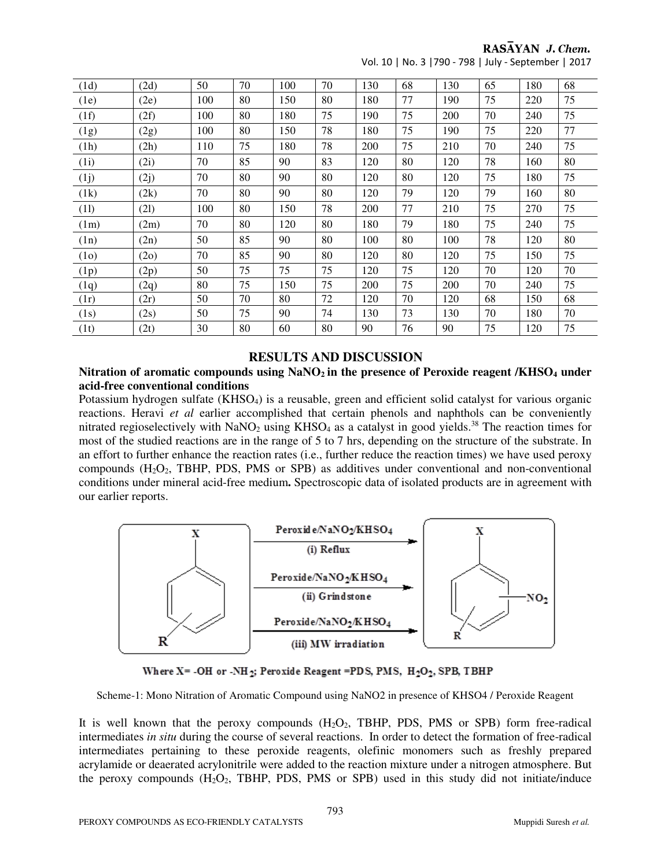| (1d)              | (2d) | 50  | 70 | 100 | 70 | 130 | 68 | 130 | 65 | 180 | 68 |
|-------------------|------|-----|----|-----|----|-----|----|-----|----|-----|----|
| (1e)              | (2e) | 100 | 80 | 150 | 80 | 180 | 77 | 190 | 75 | 220 | 75 |
| (1f)              | (2f) | 100 | 80 | 180 | 75 | 190 | 75 | 200 | 70 | 240 | 75 |
| (1g)              | (2g) | 100 | 80 | 150 | 78 | 180 | 75 | 190 | 75 | 220 | 77 |
| (1h)              | (2h) | 110 | 75 | 180 | 78 | 200 | 75 | 210 | 70 | 240 | 75 |
| (1i)              | (2i) | 70  | 85 | 90  | 83 | 120 | 80 | 120 | 78 | 160 | 80 |
| (1j)              | (2j) | 70  | 80 | 90  | 80 | 120 | 80 | 120 | 75 | 180 | 75 |
| (1k)              | (2k) | 70  | 80 | 90  | 80 | 120 | 79 | 120 | 79 | 160 | 80 |
| (11)              | (21) | 100 | 80 | 150 | 78 | 200 | 77 | 210 | 75 | 270 | 75 |
| (1m)              | (2m) | 70  | 80 | 120 | 80 | 180 | 79 | 180 | 75 | 240 | 75 |
| (1n)              | (2n) | 50  | 85 | 90  | 80 | 100 | 80 | 100 | 78 | 120 | 80 |
| (1 <sub>0</sub> ) | (2o) | 70  | 85 | 90  | 80 | 120 | 80 | 120 | 75 | 150 | 75 |
| (1p)              | (2p) | 50  | 75 | 75  | 75 | 120 | 75 | 120 | 70 | 120 | 70 |
| (1q)              | (2q) | 80  | 75 | 150 | 75 | 200 | 75 | 200 | 70 | 240 | 75 |
| (1r)              | (2r) | 50  | 70 | 80  | 72 | 120 | 70 | 120 | 68 | 150 | 68 |
| (1s)              | (2s) | 50  | 75 | 90  | 74 | 130 | 73 | 130 | 70 | 180 | 70 |
| (1t)              | (2t) | 30  | 80 | 60  | 80 | 90  | 76 | 90  | 75 | 120 | 75 |

Vol. 10 | No. 3 |790 - 798 | July - September | 2017

# **RESULTS AND DISCUSSION**

## **Nitration of aromatic compounds using NaNO2 in the presence of Peroxide reagent /KHSO4 under acid-free conventional conditions**

Potassium hydrogen sulfate (KHSO4) is a reusable, green and efficient solid catalyst for various organic reactions. Heravi *et al* earlier accomplished that certain phenols and naphthols can be conveniently nitrated regioselectively with  $NaNO<sub>2</sub>$  using  $KHSO<sub>4</sub>$  as a catalyst in good yields.<sup>38</sup> The reaction times for most of the studied reactions are in the range of 5 to 7 hrs, depending on the structure of the substrate. In an effort to further enhance the reaction rates (i.e., further reduce the reaction times) we have used peroxy compounds  $(H_2O_2, TBHP, PDS, PMS$  or SPB) as additives under conventional and non-conventional conditions under mineral acid-free medium**.** Spectroscopic data of isolated products are in agreement with our earlier reports.



Where  $X = -OH$  or  $-NH_2$ ; Peroxide Reagent =PDS, PMS,  $H_2O_2$ , SPB, TBHP

Scheme-1: Mono Nitration of Aromatic Compound using NaNO2 in presence of KHSO4 / Peroxide Reagent

It is well known that the peroxy compounds  $(H_2O_2, TBHP, PDS, PMS)$  or SPB) form free-radical intermediates *in situ* during the course of several reactions. In order to detect the formation of free-radical intermediates pertaining to these peroxide reagents, olefinic monomers such as freshly prepared acrylamide or deaerated acrylonitrile were added to the reaction mixture under a nitrogen atmosphere. But the peroxy compounds  $(H_2O_2, TBHP, PDS, PMS$  or SPB) used in this study did not initiate/induce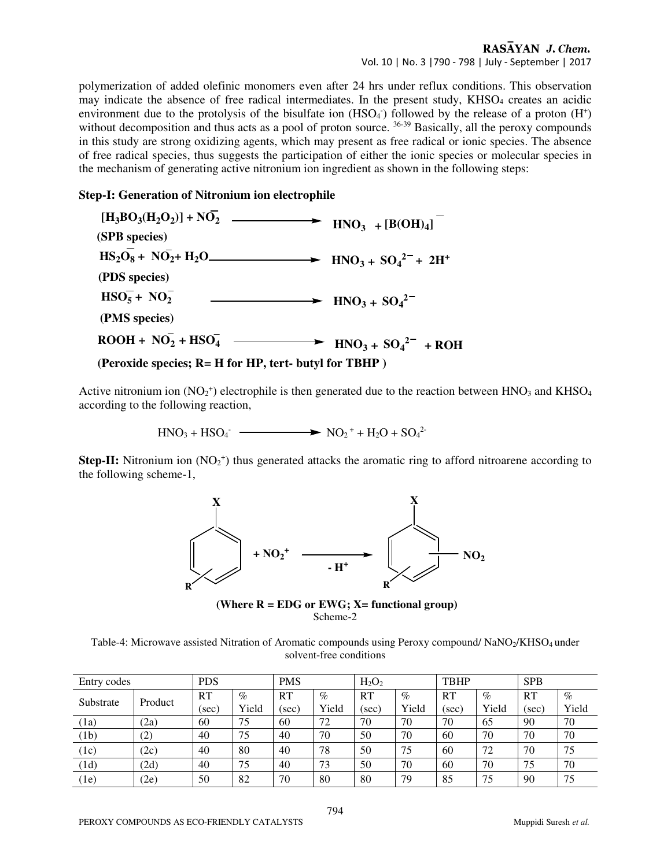## RASAYAN J. Chem. Vol. 10 | No. 3 |790 - 798 | July - September | 2017

polymerization of added olefinic monomers even after 24 hrs under reflux conditions. This observation may indicate the absence of free radical intermediates. In the present study, KHSO<sub>4</sub> creates an acidic environment due to the protolysis of the bisulfate ion  $(HSO<sub>4</sub>)$  followed by the release of a proton  $(H<sup>+</sup>)$ without decomposition and thus acts as a pool of proton source. <sup>36-39</sup> Basically, all the peroxy compounds in this study are strong oxidizing agents, which may present as free radical or ionic species. The absence of free radical species, thus suggests the participation of either the ionic species or molecular species in the mechanism of generating active nitronium ion ingredient as shown in the following steps:

# **Step-I: Generation of Nitronium ion electrophile**

| $[H_3BO_3(H_2O_2)] + NO_2$                                           | $\rightarrow$ HNO <sub>3</sub> + [B(OH) <sub>4</sub> ]               |
|----------------------------------------------------------------------|----------------------------------------------------------------------|
| (SPB species)                                                        |                                                                      |
| $HS_2O_8 + NO_2 + H_2O$ $\longrightarrow$ $HNO_3 + SO_4^{2-} + 2H^+$ |                                                                      |
| (PDS species)                                                        |                                                                      |
| $HSO5- + NO2-$                                                       | $\longrightarrow$ HNO <sub>3</sub> + SO <sub>4</sub> <sup>2-</sup>   |
| (PMS species)                                                        |                                                                      |
| $\overline{ROOH} + \overline{NO_2} + \overline{HSO_4}$               | $\rightarrow$ HNO <sub>3</sub> + SO <sub>4</sub> <sup>2-</sup> + ROH |
| (Peroxide species; R= H for HP, tert- butyl for TBHP)                |                                                                      |

Active nitronium ion  $(NO<sub>2</sub><sup>+</sup>)$  electrophile is then generated due to the reaction between  $HNO<sub>3</sub>$  and  $KHSO<sub>4</sub>$ according to the following reaction,

 $HNO<sub>3</sub> + HSO<sub>4</sub>$   $\longrightarrow$   $NO<sub>2</sub><sup>+</sup> + H<sub>2</sub>O + SO<sub>4</sub><sup>2</sup>$ 

**Step-II:** Nitronium ion  $(NO<sub>2</sub><sup>+</sup>)$  thus generated attacks the aromatic ring to afford nitroarene according to the following scheme-1,



**(Where R = EDG or EWG; X= functional group)** Scheme-2

Table-4: Microwave assisted Nitration of Aromatic compounds using Peroxy compound/ NaNO2/KHSO4 under solvent-free conditions

| Entry codes |         | <b>PDS</b>  |             | <b>PMS</b>  |             | $H_2O_2$    |             | <b>TBHP</b> |               | <b>SPB</b>  |             |
|-------------|---------|-------------|-------------|-------------|-------------|-------------|-------------|-------------|---------------|-------------|-------------|
| Substrate   | Product | <b>RT</b>   | $\%$        | RT          | $\%$        | RT          | $\%$        | RT          | $\%$<br>Yield | RT          | $\%$        |
| 1a)         | (2a)    | (sec)<br>60 | Yield<br>75 | (sec)<br>60 | Yield<br>72 | (sec)<br>70 | Yield<br>70 | (sec)<br>70 | 65            | (sec)<br>90 | Yield<br>70 |
| (1b)        | (2)     | 40          | 75          | 40          | 70          | 50          | 70          | 60          | 70            | 70          | 70          |
| (1c)        | (2c)    | 40          | 80          | 40          | 78          | 50          | 75          | 60          | 72            | 70          | 75          |
| (1d)        | (2d)    | 40          | 75          | 40          | 73          | 50          | 70          | 60          | 70            | 75          | 70          |
| 1e)         | (2e)    | 50          | 82          | 70          | 80          | 80          | 79          | 85          | 75            | 90          | 75          |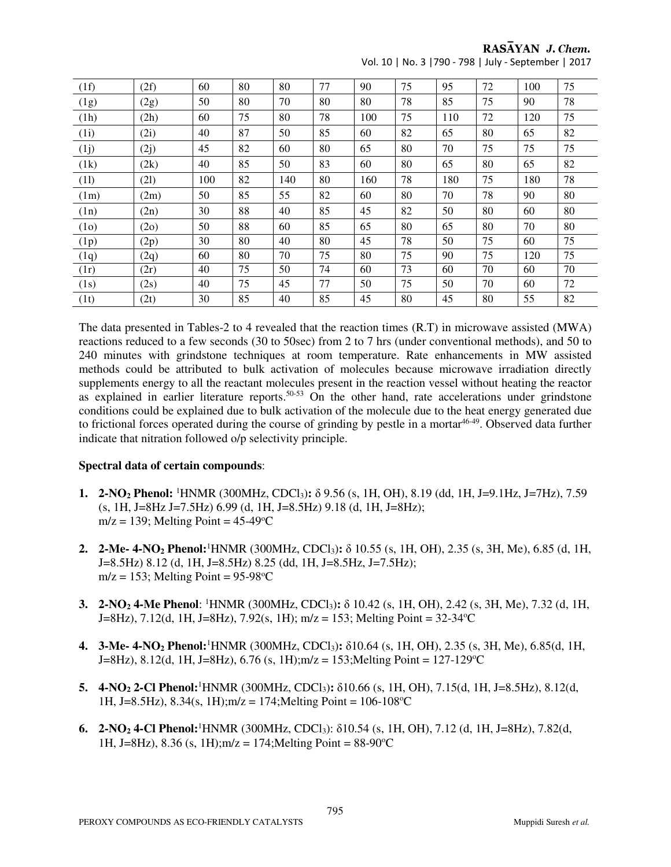| (1f)              | (2f) | 60  | 80 | 80  | 77 | 90  | 75 | 95  | 72 | 100 | 75 |
|-------------------|------|-----|----|-----|----|-----|----|-----|----|-----|----|
| (1g)              | (2g) | 50  | 80 | 70  | 80 | 80  | 78 | 85  | 75 | 90  | 78 |
| (1h)              | (2h) | 60  | 75 | 80  | 78 | 100 | 75 | 110 | 72 | 120 | 75 |
| (1i)              | (2i) | 40  | 87 | 50  | 85 | 60  | 82 | 65  | 80 | 65  | 82 |
| (1j)              | (2j) | 45  | 82 | 60  | 80 | 65  | 80 | 70  | 75 | 75  | 75 |
| (1k)              | (2k) | 40  | 85 | 50  | 83 | 60  | 80 | 65  | 80 | 65  | 82 |
| (11)              | (21) | 100 | 82 | 140 | 80 | 160 | 78 | 180 | 75 | 180 | 78 |
| (1m)              | (2m) | 50  | 85 | 55  | 82 | 60  | 80 | 70  | 78 | 90  | 80 |
| (1n)              | (2n) | 30  | 88 | 40  | 85 | 45  | 82 | 50  | 80 | 60  | 80 |
| (1 <sub>0</sub> ) | (2o) | 50  | 88 | 60  | 85 | 65  | 80 | 65  | 80 | 70  | 80 |
| (1p)              | (2p) | 30  | 80 | 40  | 80 | 45  | 78 | 50  | 75 | 60  | 75 |
| (1q)              | (2q) | 60  | 80 | 70  | 75 | 80  | 75 | 90  | 75 | 120 | 75 |
| (1r)              | (2r) | 40  | 75 | 50  | 74 | 60  | 73 | 60  | 70 | 60  | 70 |
| (1s)              | (2s) | 40  | 75 | 45  | 77 | 50  | 75 | 50  | 70 | 60  | 72 |
| (1t)              | (2t) | 30  | 85 | 40  | 85 | 45  | 80 | 45  | 80 | 55  | 82 |

Vol. 10 | No. 3 |790 - 798 | July - September | 2017

The data presented in Tables-2 to 4 revealed that the reaction times (R.T) in microwave assisted (MWA) reactions reduced to a few seconds (30 to 50sec) from 2 to 7 hrs (under conventional methods), and 50 to 240 minutes with grindstone techniques at room temperature. Rate enhancements in MW assisted methods could be attributed to bulk activation of molecules because microwave irradiation directly supplements energy to all the reactant molecules present in the reaction vessel without heating the reactor as explained in earlier literature reports.<sup>50-53</sup> On the other hand, rate accelerations under grindstone conditions could be explained due to bulk activation of the molecule due to the heat energy generated due to frictional forces operated during the course of grinding by pestle in a mortar<sup>46-49</sup>. Observed data further indicate that nitration followed o/p selectivity principle.

# **Spectral data of certain compounds**:

- **1. 2-NO2 Phenol:** <sup>1</sup>HNMR (300MHz, CDCl3)**:** δ 9.56 (s, 1H, OH), 8.19 (dd, 1H, J=9.1Hz, J=7Hz), 7.59  $(s, 1H, J=8Hz J=7.5Hz)$  6.99 (d, 1H, J=8.5Hz) 9.18 (d, 1H, J=8Hz);  $m/z = 139$ ; Melting Point =  $45-49$ <sup>o</sup>C
- **2. 2-Me- 4-NO2 Phenol:**<sup>1</sup>HNMR (300MHz, CDCl3)**:** δ 10.55 (s, 1H, OH), 2.35 (s, 3H, Me), 6.85 (d, 1H, J=8.5Hz) 8.12 (d, 1H, J=8.5Hz) 8.25 (dd, 1H, J=8.5Hz, J=7.5Hz);  $m/z = 153$ ; Melting Point = 95-98 °C
- **3. 2-NO2 4-Me Phenol**: <sup>1</sup>HNMR (300MHz, CDCl3)**:** δ 10.42 (s, 1H, OH), 2.42 (s, 3H, Me), 7.32 (d, 1H, J=8Hz), 7.12(d, 1H, J=8Hz), 7.92(s, 1H);  $m/z = 153$ ; Melting Point = 32-34 °C
- **4. 3-Me- 4-NO2 Phenol:**<sup>1</sup>HNMR (300MHz, CDCl3)**:** δ10.64 (s, 1H, OH), 2.35 (s, 3H, Me), 6.85(d, 1H, J=8Hz), 8.12(d, 1H, J=8Hz), 6.76 (s, 1H); m/z = 153; Melting Point = 127-129 °C
- **5. 4-NO2 2-Cl Phenol:**<sup>1</sup>HNMR (300MHz, CDCl3)**:** δ10.66 (s, 1H, OH), 7.15(d, 1H, J=8.5Hz), 8.12(d, 1H, J=8.5Hz), 8.34(s, 1H); m/z = 174; Melting Point =  $106-108$  °C
- **6. 2-NO2 4-Cl Phenol:**<sup>1</sup>HNMR (300MHz, CDCl3): δ10.54 (s, 1H, OH), 7.12 (d, 1H, J=8Hz), 7.82(d, 1H, J=8Hz), 8.36 (s, 1H);  $m/z = 174$ ; Melting Point = 88-90 °C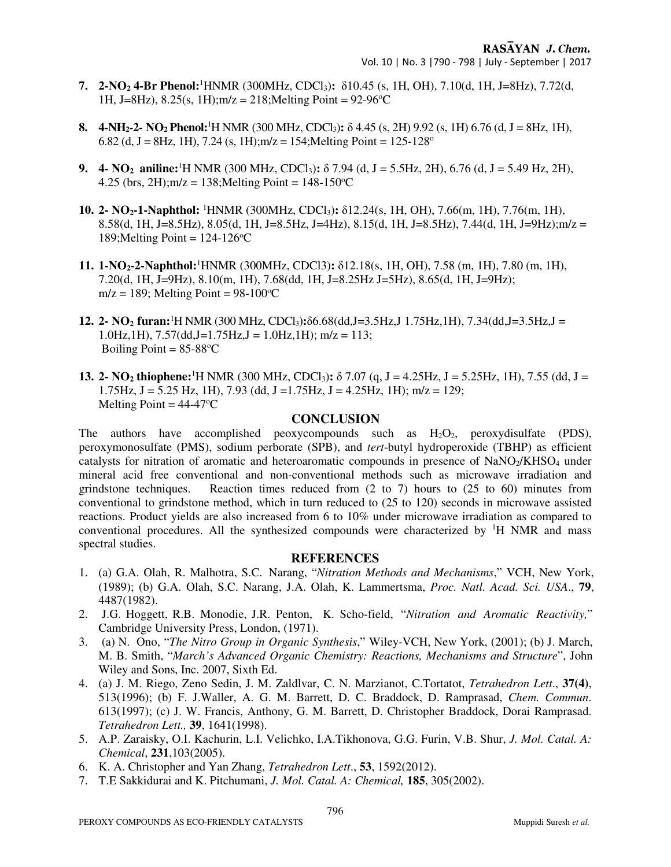- **7. 2-NO2 4-Br Phenol:**<sup>1</sup>HNMR (300MHz, CDCl3)**:** δ10.45 (s, 1H, OH), 7.10(d, 1H, J=8Hz), 7.72(d, 1H, J=8Hz), 8.25(s, 1H);  $m/z = 218$ ; Melting Point = 92-96 °C
- **8. 4-NH2-2- NO2 Phenol:**<sup>1</sup>H NMR (300 MHz, CDCl3)**:** δ 4.45 (s, 2H) 9.92 (s, 1H) 6.76 (d, J = 8Hz, 1H), 6.82 (d, J = 8Hz, 1H), 7.24 (s, 1H);  $m/z = 154$ ; Melting Point = 125-128<sup>o</sup>
- **9. 4- NO2 aniline:**<sup>1</sup>H NMR (300 MHz, CDCl3)**:** δ 7.94 (d, J = 5.5Hz, 2H), 6.76 (d, J = 5.49 Hz, 2H), 4.25 (brs, 2H); $m/z = 138$ ;Melting Point = 148-150 °C
- **10. 2- NO2-1-Naphthol:** <sup>1</sup>HNMR (300MHz, CDCl3)**:** δ12.24(s, 1H, OH), 7.66(m, 1H), 7.76(m, 1H), 8.58(d, 1H, J=8.5Hz), 8.05(d, 1H, J=8.5Hz, J=4Hz), 8.15(d, 1H, J=8.5Hz), 7.44(d, 1H, J=9Hz);m/z = 189; Melting Point =  $124-126$ <sup>o</sup>C
- **11. 1-NO2-2-Naphthol:**<sup>1</sup>HNMR (300MHz, CDCl3)**:** δ12.18(s, 1H, OH), 7.58 (m, 1H), 7.80 (m, 1H), 7.20(d, 1H, J=9Hz), 8.10(m, 1H), 7.68(dd, 1H, J=8.25Hz J=5Hz), 8.65(d, 1H, J=9Hz);  $m/z = 189$ ; Melting Point = 98-100 °C
- **12. 2- NO2 furan:**<sup>1</sup>H NMR (300 MHz, CDCl3)**:**δ6.68(dd,J=3.5Hz,J 1.75Hz,1H), 7.34(dd,J=3.5Hz,J = 1.0Hz,1H),  $7.57\text{(dd,J=1.75Hz,J = 1.0Hz,1H)}$ ; m/z = 113; Boiling Point =  $85-88$ °C
- **13. 2- NO<sub>2</sub> thiophene:**<sup>1</sup>H NMR (300 MHz, CDCl<sub>3</sub>):  $\delta$  7.07 (q, J = 4.25Hz, J = 5.25Hz, 1H), 7.55 (dd, J = 1.75Hz,  $J = 5.25$  Hz, 1H), 7.93 (dd,  $J = 1.75$ Hz,  $J = 4.25$ Hz, 1H); m/z = 129; Melting Point =  $44-47$ °C

# **CONCLUSION**

The authors have accomplished peoxycompounds such as  $H_2O_2$ , peroxydisulfate (PDS), peroxymonosulfate (PMS), sodium perborate (SPB), and *tert*-butyl hydroperoxide (TBHP) as efficient catalysts for nitration of aromatic and heteroaromatic compounds in presence of NaNO<sub>2</sub>/KHSO<sub>4</sub> under mineral acid free conventional and non-conventional methods such as microwave irradiation and grindstone techniques. Reaction times reduced from (2 to 7) hours to (25 to 60) minutes from conventional to grindstone method, which in turn reduced to (25 to 120) seconds in microwave assisted reactions. Product yields are also increased from 6 to 10% under microwave irradiation as compared to conventional procedures. All the synthesized compounds were characterized by <sup>1</sup>H NMR and mass spectral studies.

# **REFERENCES**

- 1. (a) G.A. Olah, R. Malhotra, S.C. Narang, "*Nitration Methods and Mechanisms*," VCH, New York, (1989); (b) G.A. Olah, S.C. Narang, J.A. Olah, K. Lammertsma, *Proc. Natl. Acad. Sci. USA*., **79**, 4487(1982).
- 2. J.G. Hoggett, R.B. Monodie, J.R. Penton, K. Scho-field, "*Nitration and Aromatic Reactivity,*" Cambridge University Press, London, (1971).
- 3. (a) N. Ono, "*The Nitro Group in Organic Synthesis*," Wiley-VCH, New York, (2001); (b) J. March, M. B. Smith, "*March's Advanced Organic Chemistry: Reactions, Mechanisms and Structure*", John Wiley and Sons, Inc. 2007, Sixth Ed.
- 4. (a) J. M. Riego, Zeno Sedin, J. M. Zaldlvar, C. N. Marzianot, C.Tortatot, *Tetrahedron Lett*., **37(4)**, 513(1996); (b) F. J.Waller, A. G. M. Barrett, D. C. Braddock, D. Ramprasad, *Chem. Commun*. 613(1997); (c) J. W. Francis, Anthony, G. M. Barrett, D. Christopher Braddock, Dorai Ramprasad. *Tetrahedron Lett.,* **39**, 1641(1998).
- 5. A.P. Zaraisky, O.I. Kachurin, L.I. Velichko, I.A.Tikhonova, G.G. Furin, V.B. Shur, *J. Mol. Catal. A: Chemical*, **231**,103(2005).
- 6. K. A. Christopher and Yan Zhang, *Tetrahedron Lett*., **53**, 1592(2012).
- 7. T.E Sakkidurai and K. Pitchumani, *J. Mol. Catal. A: Chemical,* **185**, 305(2002).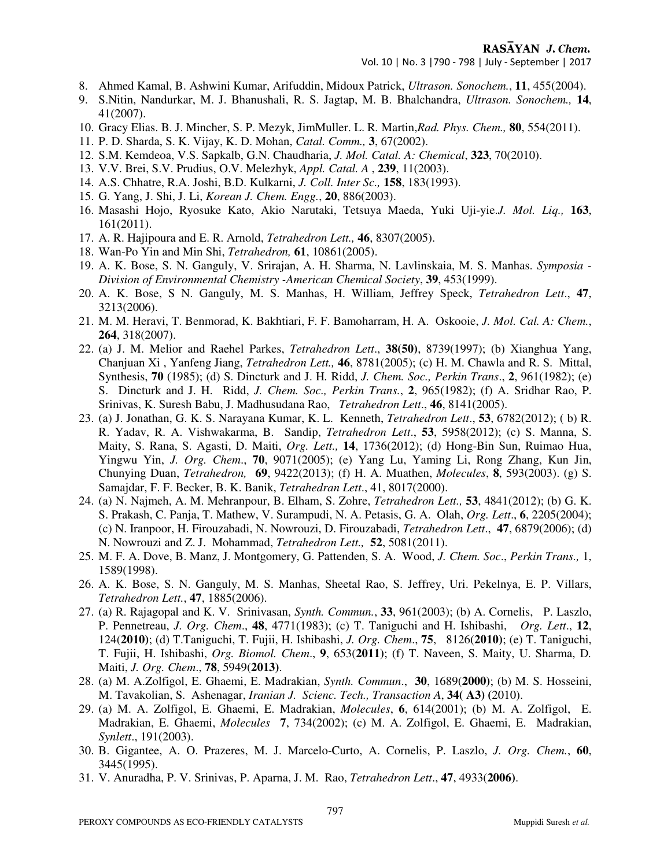- 8. Ahmed Kamal, B. Ashwini Kumar, Arifuddin, Midoux Patrick, *Ultrason. Sonochem.*, **11**, 455(2004).
- 9. S.Nitin, Nandurkar, M. J. Bhanushali, R. S. Jagtap, M. B. Bhalchandra, *Ultrason. Sonochem.,* **14**, 41(2007).
- 10. Gracy Elias. B. J. Mincher, S. P. Mezyk, JimMuller. L. R*.* Martin,*Rad. Phys. Chem.,* **80**, 554(2011).
- 11. P. D. Sharda, S. K. Vijay, K. D. Mohan, *Catal. Comm.,* **3**, 67(2002).
- 12. S.M. Kemdeoa, V.S. Sapkalb, G.N. Chaudharia, *J. Mol. Catal. A: Chemical*, **323**, 70(2010).
- 13. V.V. Brei, S.V. Prudius, O.V. Melezhyk, *Appl. Catal. A* , **239**, 11(2003).
- 14. A.S. Chhatre, R.A. Joshi, B.D. Kulkarni, *J. Coll. Inter Sc.,* **158**, 183(1993).
- 15. G. Yang, J. Shi, J. Li, *Korean J. Chem. Engg.*, **20**, 886(2003).
- 16. Masashi Hojo, Ryosuke Kato, Akio Narutaki, Tetsuya Maeda, Yuki Uji-yie.*J. Mol. Liq.,* **163**, 161(2011).
- 17. A. R. Hajipoura and E. R. Arnold, *Tetrahedron Lett.,* **46**, 8307(2005).
- 18. Wan-Po Yin and Min Shi, *Tetrahedron,* **61**, 10861(2005).
- 19. A. K. Bose, S. N. Ganguly, V. Srirajan, A. H. Sharma, N. Lavlinskaia, M. S. Manhas. *Symposia Division of Environmental Chemistry -American Chemical Society*, **39**, 453(1999).
- 20. A. K. Bose, S N. Ganguly, M. S. Manhas, H. William, Jeffrey Speck, *Tetrahedron Lett*., **47**, 3213(2006).
- 21. M. M. Heravi, T. Benmorad, K. Bakhtiari, F. F. Bamoharram, H. A. Oskooie, *J. Mol. Cal. A: Chem.*, **264**, 318(2007).
- 22. (a) J. M. Melior and Raehel Parkes, *Tetrahedron Lett*., **38(50)**, 8739(1997); (b) Xianghua Yang, Chanjuan Xi , Yanfeng Jiang, *Tetrahedron Lett.,* **46**, 8781(2005); (c) H. M. Chawla and R. S. Mittal, Synthesis, **70** (1985); (d) S. Dincturk and J. H*.* Ridd, *J. Chem. Soc., Perkin Trans*., **2**, 961(1982); (e) S. Dincturk and J. H. Ridd, *J. Chem. Soc., Perkin Trans.*, **2**, 965(1982); (f) A. Sridhar Rao, P. Srinivas, K. Suresh Babu, J. Madhusudana Rao, *Tetrahedron Lett*., **46**, 8141(2005).
- 23. (a) J. Jonathan, G. K. S. Narayana Kumar, K. L. Kenneth, *Tetrahedron Lett*., **53**, 6782(2012); ( b) R. R. Yadav, R. A. Vishwakarma, B. Sandip, *Tetrahedron Lett*., **53**, 5958(2012); (c) S. Manna, S. Maity, S. Rana, S. Agasti, D. Maiti, *Org. Lett.,* **14**, 1736(2012); (d) Hong-Bin Sun, Ruimao Hua, Yingwu Yin, *J. Org. Chem*., **70**, 9071(2005); (e) Yang Lu, Yaming Li, Rong Zhang, Kun Jin, Chunying Duan, *Tetrahedron,* **69**, 9422(2013); (f) H. A. Muathen, *Molecules*, **8**, 593(2003). (g) S. Samajdar, F. F. Becker, B. K. Banik, *Tetrahedran Lett*., 41, 8017(2000).
- 24. (a) N. Najmeh, A. M. Mehranpour, B. Elham, S. Zohre, *Tetrahedron Lett.,* **53**, 4841(2012); (b) G. K. S. Prakash, C. Panja, T. Mathew, V. Surampudi, N. A. Petasis, G. A. Olah, *Org. Lett*., **6**, 2205(2004); (c) N. Iranpoor, H. Firouzabadi, N. Nowrouzi, D. Firouzabadi, *Tetrahedron Lett*., **47**, 6879(2006); (d) N. Nowrouzi and Z. J. Mohammad, *Tetrahedron Lett.,* **52**, 5081(2011).
- 25. M. F. A. Dove, B. Manz, J. Montgomery, G. Pattenden, S. A. Wood, *J. Chem. Soc*., *Perkin Trans.,* 1, 1589(1998).
- 26. A. K. Bose, S. N. Ganguly, M. S. Manhas, Sheetal Rao, S. Jeffrey, Uri. Pekelnya, E. P. Villars, *Tetrahedron Lett.*, **47**, 1885(2006).
- 27. (a) R. Rajagopal and K. V. Srinivasan, *Synth. Commun.*, **33**, 961(2003); (b) A. Cornelis, P. Laszlo, P. Pennetreau, *J. Org. Chem*., **48**, 4771(1983); (c) T. Taniguchi and H. Ishibashi, *Org. Lett*., **12**, 124(**2010)**; (d) T.Taniguchi, T. Fujii, H. Ishibashi, *J. Org. Chem*., **75**, 8126(**2010)**; (e) T. Taniguchi, T. Fujii, H. Ishibashi, *Org. Biomol. Chem*., **9**, 653(**2011)**; (f) T. Naveen, S. Maity, U. Sharma, D*.* Maiti, *J. Org. Chem*., **78**, 5949(**2013)**.
- 28. (a) M. A.Zolfigol, E. Ghaemi, E. Madrakian, *Synth. Commun*., **30**, 1689(**2000)**; (b) M. S. Hosseini, M. Tavakolian, S. Ashenagar, *Iranian J. Scienc. Tech., Transaction A*, **34( A3) (**2010).
- 29. (a) M. A. Zolfigol, E. Ghaemi, E. Madrakian, *Molecules*, **6**, 614(2001); (b) M. A. Zolfigol, E. Madrakian, E. Ghaemi, *Molecules* **7**, 734(2002); (c) M. A. Zolfigol, E. Ghaemi, E. Madrakian, *Synlett*., 191(2003).
- 30. B. Gigantee, A. O. Prazeres, M. J. Marcelo-Curto, A. Cornelis, P. Laszlo, *J. Org. Chem.*, **60**, 3445(1995).
- 31. V. Anuradha, P. V. Srinivas, P. Aparna, J. M. Rao, *Tetrahedron Lett*., **47**, 4933(**2006)**.